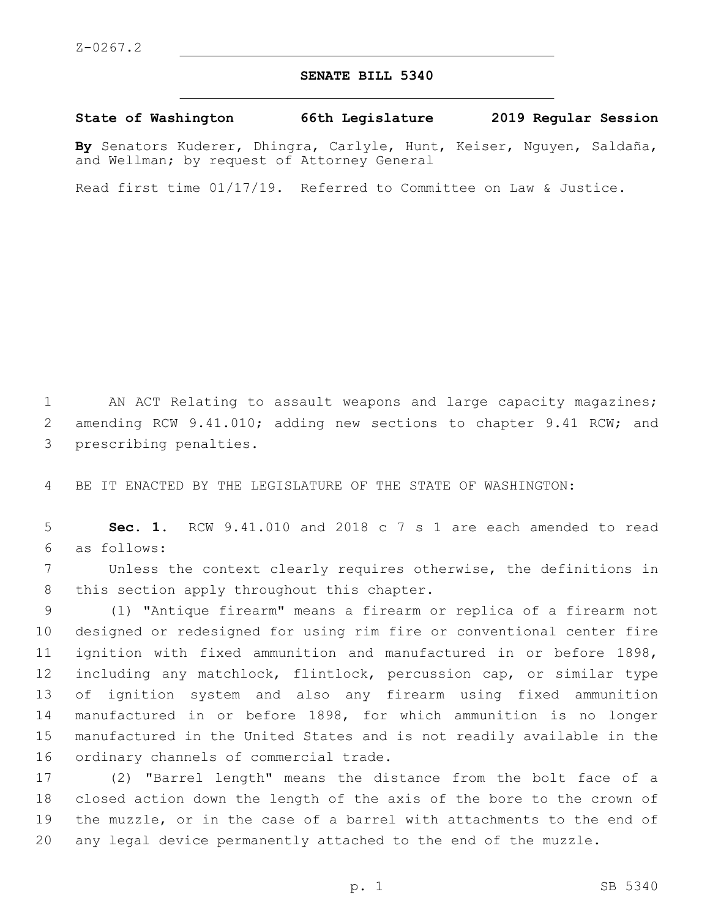## **SENATE BILL 5340**

**State of Washington 66th Legislature 2019 Regular Session**

**By** Senators Kuderer, Dhingra, Carlyle, Hunt, Keiser, Nguyen, Saldaña, and Wellman; by request of Attorney General

Read first time 01/17/19. Referred to Committee on Law & Justice.

1 AN ACT Relating to assault weapons and large capacity magazines; 2 amending RCW 9.41.010; adding new sections to chapter 9.41 RCW; and 3 prescribing penalties.

4 BE IT ENACTED BY THE LEGISLATURE OF THE STATE OF WASHINGTON:

5 **Sec. 1.** RCW 9.41.010 and 2018 c 7 s 1 are each amended to read as follows:6

7 Unless the context clearly requires otherwise, the definitions in 8 this section apply throughout this chapter.

 (1) "Antique firearm" means a firearm or replica of a firearm not designed or redesigned for using rim fire or conventional center fire ignition with fixed ammunition and manufactured in or before 1898, including any matchlock, flintlock, percussion cap, or similar type of ignition system and also any firearm using fixed ammunition manufactured in or before 1898, for which ammunition is no longer manufactured in the United States and is not readily available in the 16 ordinary channels of commercial trade.

 (2) "Barrel length" means the distance from the bolt face of a closed action down the length of the axis of the bore to the crown of the muzzle, or in the case of a barrel with attachments to the end of any legal device permanently attached to the end of the muzzle.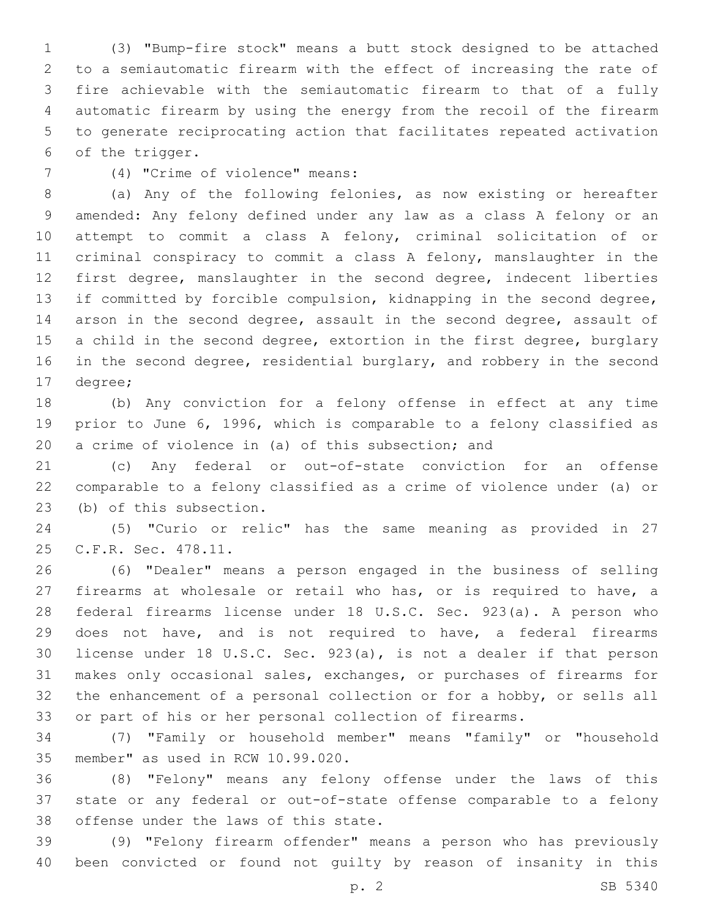(3) "Bump-fire stock" means a butt stock designed to be attached to a semiautomatic firearm with the effect of increasing the rate of fire achievable with the semiautomatic firearm to that of a fully automatic firearm by using the energy from the recoil of the firearm to generate reciprocating action that facilitates repeated activation 6 of the trigger.

(4) "Crime of violence" means:7

 (a) Any of the following felonies, as now existing or hereafter amended: Any felony defined under any law as a class A felony or an attempt to commit a class A felony, criminal solicitation of or criminal conspiracy to commit a class A felony, manslaughter in the first degree, manslaughter in the second degree, indecent liberties if committed by forcible compulsion, kidnapping in the second degree, arson in the second degree, assault in the second degree, assault of 15 a child in the second degree, extortion in the first degree, burglary 16 in the second degree, residential burglary, and robbery in the second 17 degree;

 (b) Any conviction for a felony offense in effect at any time prior to June 6, 1996, which is comparable to a felony classified as a crime of violence in (a) of this subsection; and

 (c) Any federal or out-of-state conviction for an offense comparable to a felony classified as a crime of violence under (a) or 23 (b) of this subsection.

 (5) "Curio or relic" has the same meaning as provided in 27 25 C.F.R. Sec. 478.11.

 (6) "Dealer" means a person engaged in the business of selling firearms at wholesale or retail who has, or is required to have, a federal firearms license under 18 U.S.C. Sec. 923(a). A person who does not have, and is not required to have, a federal firearms license under 18 U.S.C. Sec. 923(a), is not a dealer if that person makes only occasional sales, exchanges, or purchases of firearms for the enhancement of a personal collection or for a hobby, or sells all or part of his or her personal collection of firearms.

 (7) "Family or household member" means "family" or "household 35 member" as used in RCW 10.99.020.

 (8) "Felony" means any felony offense under the laws of this state or any federal or out-of-state offense comparable to a felony 38 offense under the laws of this state.

 (9) "Felony firearm offender" means a person who has previously been convicted or found not guilty by reason of insanity in this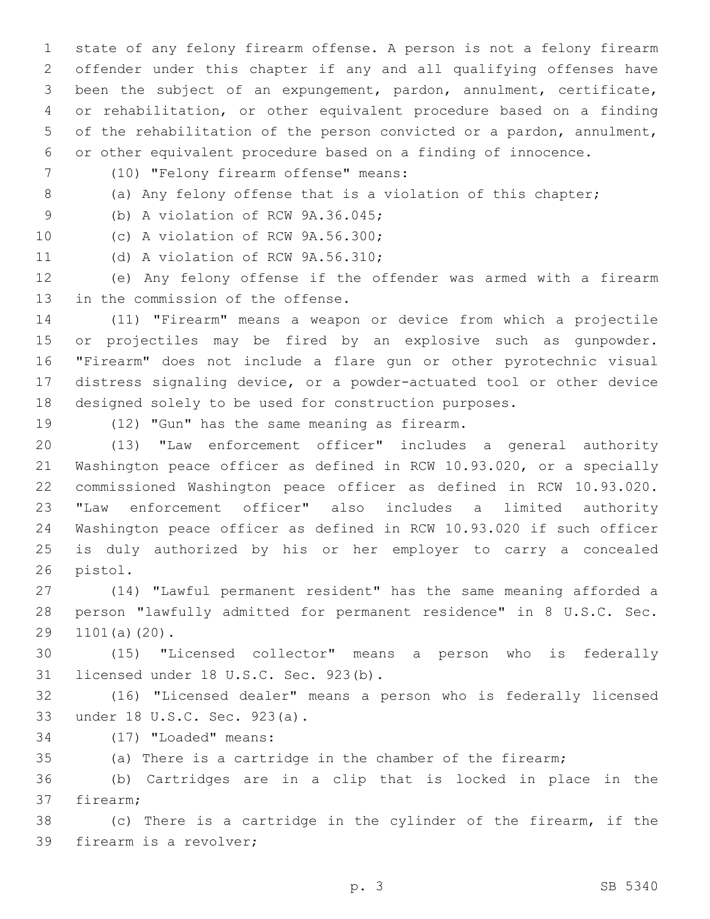state of any felony firearm offense. A person is not a felony firearm offender under this chapter if any and all qualifying offenses have been the subject of an expungement, pardon, annulment, certificate, or rehabilitation, or other equivalent procedure based on a finding of the rehabilitation of the person convicted or a pardon, annulment, or other equivalent procedure based on a finding of innocence.

- (10) "Felony firearm offense" means:7
- 

8 (a) Any felony offense that is a violation of this chapter;

9 (b) A violation of RCW 9A.36.045;

10 (c) A violation of RCW 9A.56.300;

11 (d) A violation of RCW 9A.56.310;

 (e) Any felony offense if the offender was armed with a firearm 13 in the commission of the offense.

 (11) "Firearm" means a weapon or device from which a projectile or projectiles may be fired by an explosive such as gunpowder. "Firearm" does not include a flare gun or other pyrotechnic visual distress signaling device, or a powder-actuated tool or other device designed solely to be used for construction purposes.

19 (12) "Gun" has the same meaning as firearm.

 (13) "Law enforcement officer" includes a general authority Washington peace officer as defined in RCW 10.93.020, or a specially commissioned Washington peace officer as defined in RCW 10.93.020. "Law enforcement officer" also includes a limited authority Washington peace officer as defined in RCW 10.93.020 if such officer is duly authorized by his or her employer to carry a concealed 26 pistol.

 (14) "Lawful permanent resident" has the same meaning afforded a person "lawfully admitted for permanent residence" in 8 U.S.C. Sec. 29 1101(a)(20).

 (15) "Licensed collector" means a person who is federally 31 licensed under 18 U.S.C. Sec. 923(b).

 (16) "Licensed dealer" means a person who is federally licensed 33 under 18 U.S.C. Sec. 923(a).

- 34 (17) "Loaded" means:
- (a) There is a cartridge in the chamber of the firearm;

 (b) Cartridges are in a clip that is locked in place in the 37 firearm;

 (c) There is a cartridge in the cylinder of the firearm, if the 39 firearm is a revolver;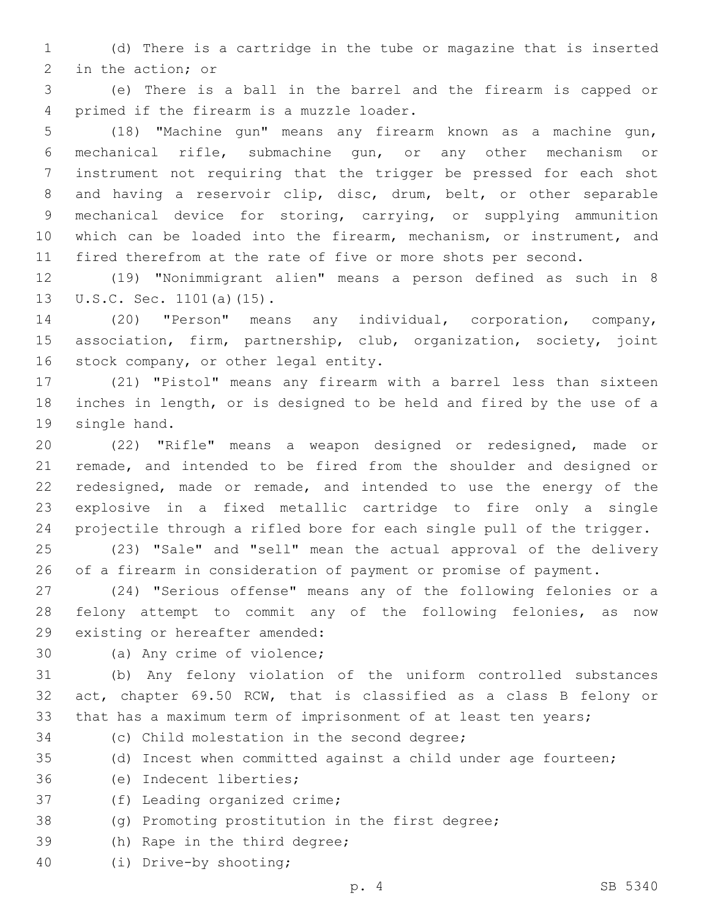(d) There is a cartridge in the tube or magazine that is inserted 2 in the action; or

 (e) There is a ball in the barrel and the firearm is capped or 4 primed if the firearm is a muzzle loader.

 (18) "Machine gun" means any firearm known as a machine gun, mechanical rifle, submachine gun, or any other mechanism or instrument not requiring that the trigger be pressed for each shot and having a reservoir clip, disc, drum, belt, or other separable mechanical device for storing, carrying, or supplying ammunition which can be loaded into the firearm, mechanism, or instrument, and fired therefrom at the rate of five or more shots per second.

 (19) "Nonimmigrant alien" means a person defined as such in 8 13 U.S.C. Sec. 1101(a)(15).

 (20) "Person" means any individual, corporation, company, association, firm, partnership, club, organization, society, joint 16 stock company, or other legal entity.

 (21) "Pistol" means any firearm with a barrel less than sixteen inches in length, or is designed to be held and fired by the use of a 19 single hand.

 (22) "Rifle" means a weapon designed or redesigned, made or remade, and intended to be fired from the shoulder and designed or redesigned, made or remade, and intended to use the energy of the explosive in a fixed metallic cartridge to fire only a single projectile through a rifled bore for each single pull of the trigger.

 (23) "Sale" and "sell" mean the actual approval of the delivery of a firearm in consideration of payment or promise of payment.

 (24) "Serious offense" means any of the following felonies or a felony attempt to commit any of the following felonies, as now 29 existing or hereafter amended:

30 (a) Any crime of violence;

 (b) Any felony violation of the uniform controlled substances act, chapter 69.50 RCW, that is classified as a class B felony or that has a maximum term of imprisonment of at least ten years;

34 (c) Child molestation in the second degree;

(d) Incest when committed against a child under age fourteen;

36 (e) Indecent liberties;

37 (f) Leading organized crime;

(g) Promoting prostitution in the first degree;

39 (h) Rape in the third degree;

(i) Drive-by shooting;40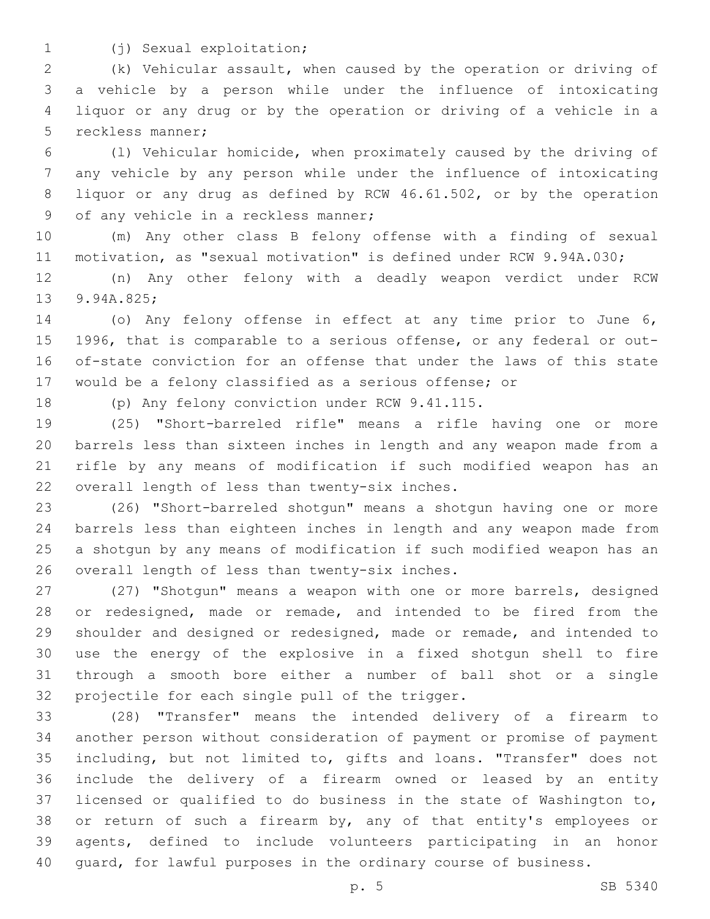- 
- (j) Sexual exploitation;1

 (k) Vehicular assault, when caused by the operation or driving of a vehicle by a person while under the influence of intoxicating liquor or any drug or by the operation or driving of a vehicle in a 5 reckless manner;

 (l) Vehicular homicide, when proximately caused by the driving of any vehicle by any person while under the influence of intoxicating liquor or any drug as defined by RCW 46.61.502, or by the operation 9 of any vehicle in a reckless manner;

 (m) Any other class B felony offense with a finding of sexual motivation, as "sexual motivation" is defined under RCW 9.94A.030;

 (n) Any other felony with a deadly weapon verdict under RCW 13 9.94A.825;

 (o) Any felony offense in effect at any time prior to June 6, 1996, that is comparable to a serious offense, or any federal or out- of-state conviction for an offense that under the laws of this state would be a felony classified as a serious offense; or

18 (p) Any felony conviction under RCW 9.41.115.

 (25) "Short-barreled rifle" means a rifle having one or more barrels less than sixteen inches in length and any weapon made from a rifle by any means of modification if such modified weapon has an 22 overall length of less than twenty-six inches.

 (26) "Short-barreled shotgun" means a shotgun having one or more barrels less than eighteen inches in length and any weapon made from a shotgun by any means of modification if such modified weapon has an 26 overall length of less than twenty-six inches.

 (27) "Shotgun" means a weapon with one or more barrels, designed 28 or redesigned, made or remade, and intended to be fired from the shoulder and designed or redesigned, made or remade, and intended to use the energy of the explosive in a fixed shotgun shell to fire through a smooth bore either a number of ball shot or a single 32 projectile for each single pull of the trigger.

 (28) "Transfer" means the intended delivery of a firearm to another person without consideration of payment or promise of payment including, but not limited to, gifts and loans. "Transfer" does not include the delivery of a firearm owned or leased by an entity licensed or qualified to do business in the state of Washington to, or return of such a firearm by, any of that entity's employees or agents, defined to include volunteers participating in an honor guard, for lawful purposes in the ordinary course of business.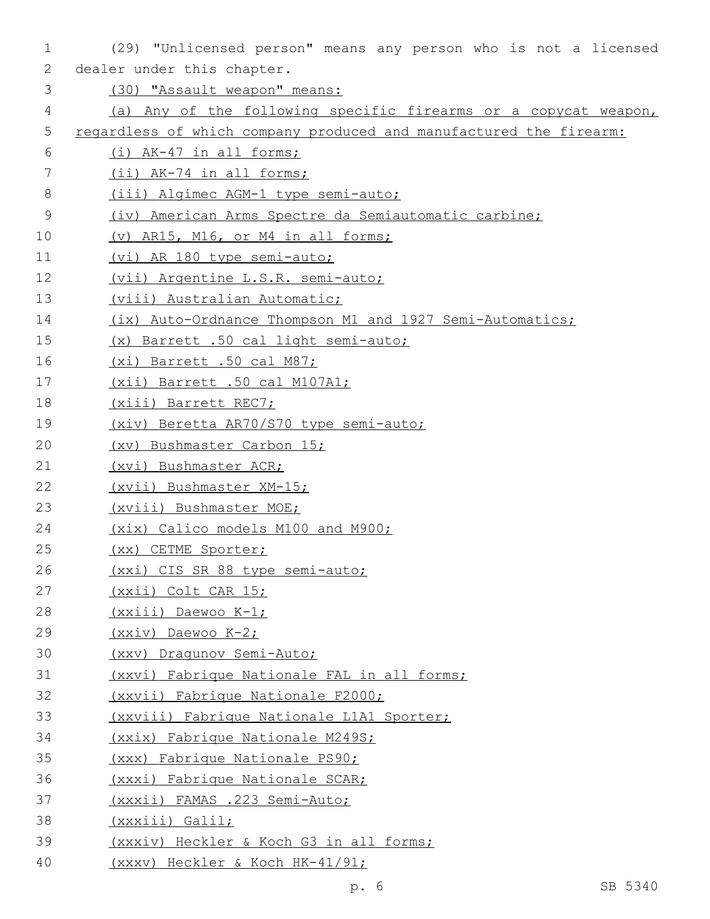| 1           | (29) "Unlicensed person" means any person who is not a licensed    |
|-------------|--------------------------------------------------------------------|
| 2           | dealer under this chapter.                                         |
| 3           | (30) "Assault weapon" means:                                       |
| 4           | (a) Any of the following specific firearms or a copycat weapon,    |
| 5           | regardless of which company produced and manufactured the firearm: |
| 6           | (i) AK-47 in all forms;                                            |
| 7           | (ii) AK-74 in all forms;                                           |
| 8           | (iii) Algimec AGM-1 type semi-auto;                                |
| $\mathsf 9$ | (iv) American Arms Spectre da Semiautomatic carbine;               |
| 10          | (v) AR15, M16, or M4 in all forms;                                 |
| 11          | (vi) AR 180 type semi-auto;                                        |
| 12          | (vii) Argentine L.S.R. semi-auto;                                  |
| 13          | (viii) Australian Automatic;                                       |
| 14          | (ix) Auto-Ordnance Thompson M1 and 1927 Semi-Automatics;           |
| 15          | (x) Barrett .50 cal light semi-auto;                               |
| 16          | (xi) Barrett .50 cal M87;                                          |
| 17          | (xii) Barrett .50 cal M107A1;                                      |
| 18          | (xiii) Barrett REC7;                                               |
| 19          | (xiv) Beretta AR70/S70 type semi-auto;                             |
| 20          | (xv) Bushmaster Carbon 15;                                         |
| 21          | (xvi) Bushmaster ACR;                                              |
| 22          | (xvii) Bushmaster XM-15;                                           |
| 23          | (xviii) Bushmaster MOE;                                            |
| 24          | (xix) Calico models M100 and M900;                                 |
| 25          | (xx) CETME Sporter;                                                |
| 26          | (xxi) CIS SR 88 type semi-auto;                                    |
| 27          | (xxii) Colt CAR 15;                                                |
| 28          | $(xxiii)$ Daewoo K-1;                                              |
| 29          | $(xxiv)$ Daewoo $K-2$ ;                                            |
| 30          | (xxv) Dragunov Semi-Auto;                                          |
| 31          | (xxvi) Fabrique Nationale FAL in all forms;                        |
| 32          | (xxvii) Fabrique Nationale F2000;                                  |
| 33          | (xxviii) Fabrique Nationale L1A1 Sporter;                          |
| 34          | (xxix) Fabrique Nationale M249S;                                   |
| 35          | (xxx) Fabrique Nationale PS90;                                     |
| 36          | (xxxi) Fabrique Nationale SCAR;                                    |
| 37          | (xxxii) FAMAS .223 Semi-Auto;                                      |
| 38          | (xxxiii) Galil;                                                    |
| 39          | (xxxiv) Heckler & Koch G3 in all forms;                            |
| 40          | <u>(xxxv) Heckler &amp; Koch HK-41/91;</u>                         |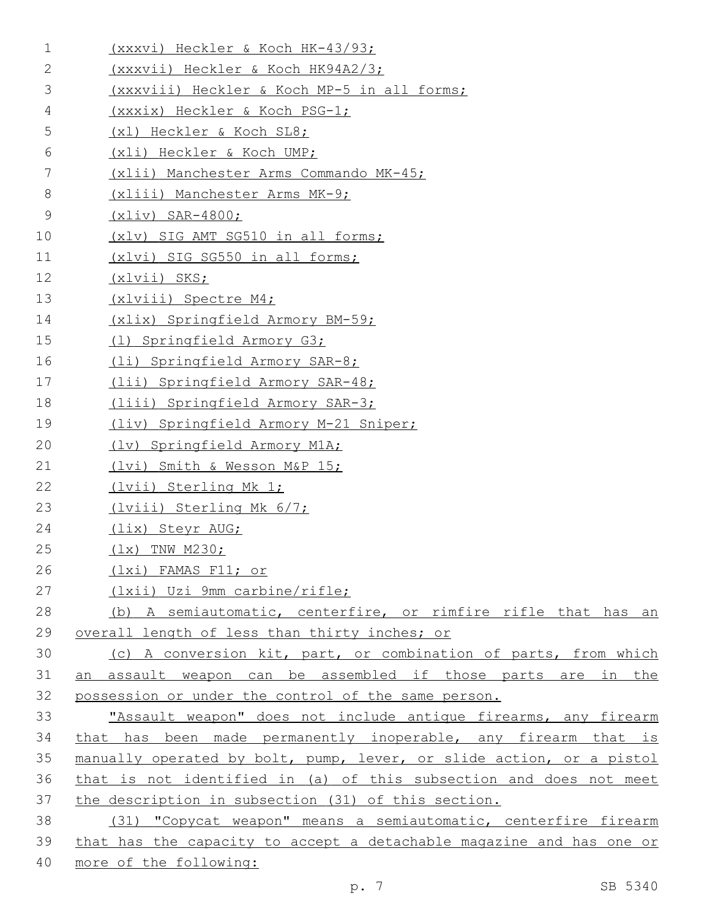| $\mathbf 1$ | (xxxvi) Heckler & Koch HK-43/93;                                     |
|-------------|----------------------------------------------------------------------|
| 2           | (xxxvii) Heckler & Koch HK94A2/3;                                    |
| 3           | (xxxviii) Heckler & Koch MP-5 in all forms;                          |
| 4           | (xxxix) Heckler & Koch PSG-1;                                        |
| 5           | (x1) Heckler & Koch SL8;                                             |
| 6           | (xli) Heckler & Koch UMP;                                            |
| 7           | (xlii) Manchester Arms Commando MK-45;                               |
| 8           | (xliii) Manchester Arms MK-9;                                        |
| 9           | $(xliv)$ SAR-4800;                                                   |
| 10          | (xlv) SIG AMT SG510 in all forms;                                    |
| 11          | (xlvi) SIG SG550 in all forms;                                       |
| $12 \,$     | (xlvii) SKS;                                                         |
| 13          | (xlviii) Spectre M4;                                                 |
| 14          | (xlix) Springfield Armory BM-59;                                     |
| 15          | (1) Springfield Armory G3;                                           |
| 16          | (li) Springfield Armory SAR-8;                                       |
| 17          | (lii) Springfield Armory SAR-48;                                     |
| 18          | (liii) Springfield Armory SAR-3;                                     |
| 19          | (liv) Springfield Armory M-21 Sniper;                                |
| 20          | (lv) Springfield Armory M1A;                                         |
| 21          | (lvi) Smith & Wesson M&P 15;                                         |
| 22          | (lvii) Sterling Mk 1;                                                |
| 23          | (lviii) Sterling Mk 6/7;                                             |
| 24          | (lix) Steyr AUG;                                                     |
| 25          | $(1x)$ TNW M230;                                                     |
| 26          | (1xi) FAMAS F11; or                                                  |
| 27          | (1xii) Uzi 9mm carbine/rifle;                                        |
| 28          | (b) A semiautomatic, centerfire, or rimfire rifle that has an        |
| 29          | overall length of less than thirty inches; or                        |
| 30          | (c) A conversion kit, part, or combination of parts, from which      |
| 31          | an assault weapon can be assembled if those parts are in the         |
| 32          | possession or under the control of the same person.                  |
| 33          | "Assault weapon" does not include antique firearms, any firearm      |
| 34          | that has been made permanently inoperable, any firearm that is       |
| 35          | manually operated by bolt, pump, lever, or slide action, or a pistol |
| 36          | that is not identified in (a) of this subsection and does not meet   |
| 37          | the description in subsection (31) of this section.                  |
| 38          | (31) "Copycat weapon" means a semiautomatic, centerfire firearm      |
| 39          | that has the capacity to accept a detachable magazine and has one or |
| 40          | more of the following:                                               |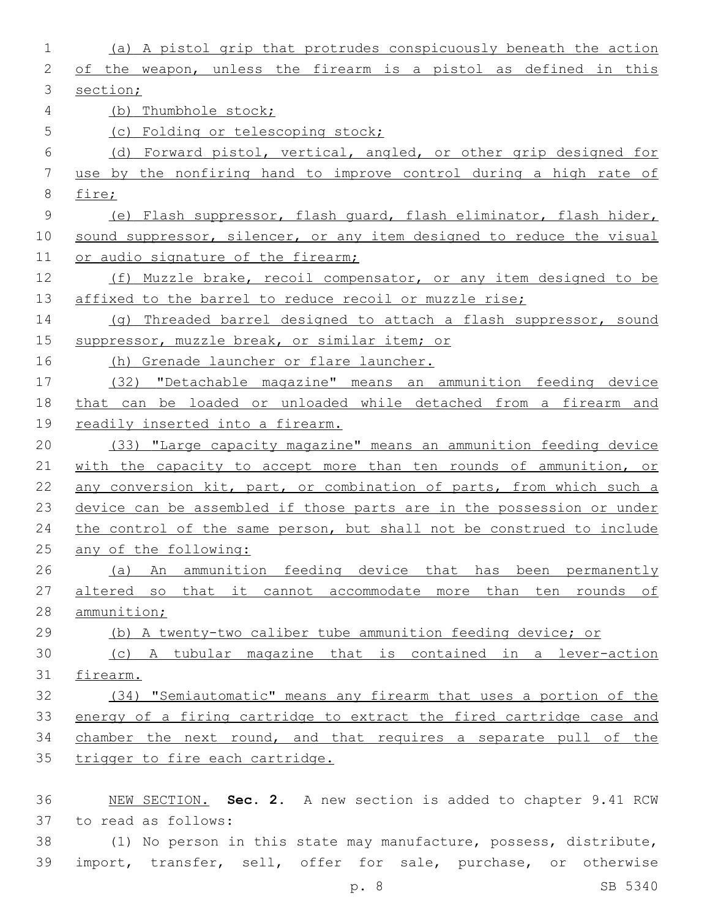| 1            | (a) A pistol grip that protrudes conspicuously beneath the action     |
|--------------|-----------------------------------------------------------------------|
| $\mathbf{2}$ | of the weapon, unless the firearm is a pistol as defined in this      |
| 3            | section;                                                              |
| 4            | (b) Thumbhole stock;                                                  |
| 5            | (c) Folding or telescoping stock;                                     |
| 6            | (d) Forward pistol, vertical, angled, or other grip designed for      |
| 7            | use by the nonfiring hand to improve control during a high rate of    |
| $\,8\,$      | fire;                                                                 |
| 9            | (e) Flash suppressor, flash quard, flash eliminator, flash hider,     |
| 10           | sound suppressor, silencer, or any item designed to reduce the visual |
| 11           | or audio signature of the firearm;                                    |
| 12           | (f) Muzzle brake, recoil compensator, or any item designed to be      |
| 13           | affixed to the barrel to reduce recoil or muzzle rise;                |
| 14           | (g) Threaded barrel designed to attach a flash suppressor, sound      |
| 15           | suppressor, muzzle break, or similar item; or                         |
| 16           | (h) Grenade launcher or flare launcher.                               |
| 17           | (32) "Detachable magazine" means an ammunition feeding device         |
| 18           | that can be loaded or unloaded while detached from a firearm and      |
| 19           | readily inserted into a firearm.                                      |
| 20           | (33) "Large capacity magazine" means an ammunition feeding device     |
| 21           | with the capacity to accept more than ten rounds of ammunition, or    |
| 22           | any conversion kit, part, or combination of parts, from which such a  |
| 23           | device can be assembled if those parts are in the possession or under |
| 24           | the control of the same person, but shall not be construed to include |
| 25           | any of the following:                                                 |
| 26           | An ammunition feeding device that has been permanently<br>(a)         |
| 27           | altered so that it cannot accommodate more than ten rounds of         |
| 28           | ammunition;                                                           |
| 29           | (b) A twenty-two caliber tube ammunition feeding device; or           |
| 30           | (c) A tubular magazine that is contained in a lever-action            |
| 31           | firearm.                                                              |
| 32           | (34) "Semiautomatic" means any firearm that uses a portion of the     |
| 33           | energy of a firing cartridge to extract the fired cartridge case and  |
| 34           | chamber the next round, and that requires a separate pull of the      |
| 35           | trigger to fire each cartridge.                                       |
| 36           | NEW SECTION. Sec. 2. A new section is added to chapter 9.41 RCW       |
| 37           | to read as follows:                                                   |

38 (1) No person in this state may manufacture, possess, distribute, 39 import, transfer, sell, offer for sale, purchase, or otherwise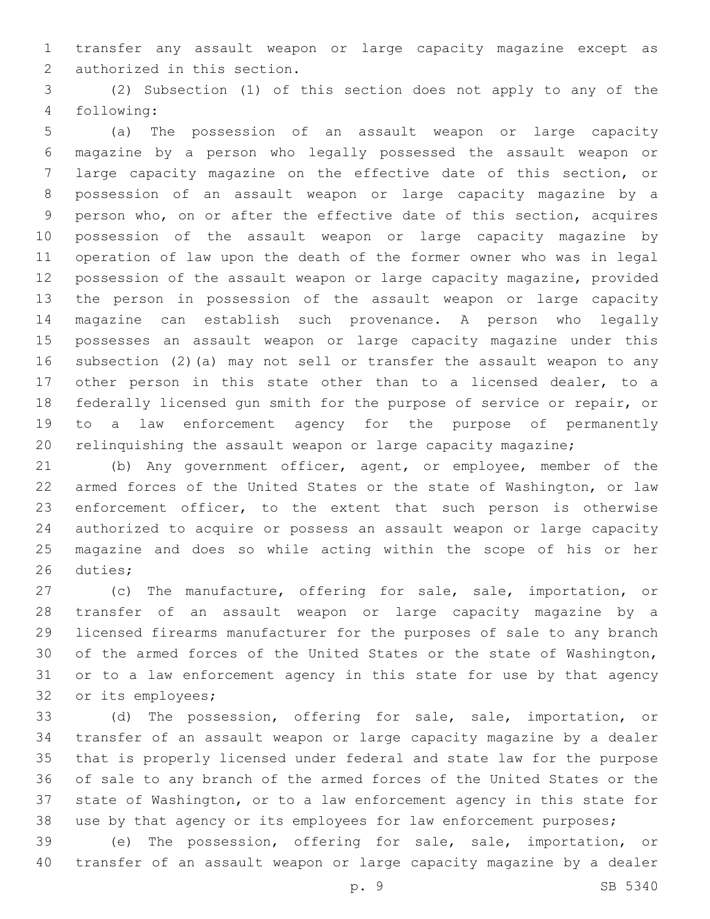transfer any assault weapon or large capacity magazine except as 2 authorized in this section.

 (2) Subsection (1) of this section does not apply to any of the following:4

 (a) The possession of an assault weapon or large capacity magazine by a person who legally possessed the assault weapon or large capacity magazine on the effective date of this section, or possession of an assault weapon or large capacity magazine by a person who, on or after the effective date of this section, acquires possession of the assault weapon or large capacity magazine by operation of law upon the death of the former owner who was in legal possession of the assault weapon or large capacity magazine, provided the person in possession of the assault weapon or large capacity magazine can establish such provenance. A person who legally possesses an assault weapon or large capacity magazine under this subsection (2)(a) may not sell or transfer the assault weapon to any other person in this state other than to a licensed dealer, to a federally licensed gun smith for the purpose of service or repair, or to a law enforcement agency for the purpose of permanently relinquishing the assault weapon or large capacity magazine;

 (b) Any government officer, agent, or employee, member of the armed forces of the United States or the state of Washington, or law enforcement officer, to the extent that such person is otherwise authorized to acquire or possess an assault weapon or large capacity magazine and does so while acting within the scope of his or her 26 duties;

27 (c) The manufacture, offering for sale, sale, importation, or transfer of an assault weapon or large capacity magazine by a licensed firearms manufacturer for the purposes of sale to any branch of the armed forces of the United States or the state of Washington, or to a law enforcement agency in this state for use by that agency 32 or its employees;

 (d) The possession, offering for sale, sale, importation, or transfer of an assault weapon or large capacity magazine by a dealer that is properly licensed under federal and state law for the purpose of sale to any branch of the armed forces of the United States or the state of Washington, or to a law enforcement agency in this state for 38 use by that agency or its employees for law enforcement purposes;

 (e) The possession, offering for sale, sale, importation, or transfer of an assault weapon or large capacity magazine by a dealer

p. 9 SB 5340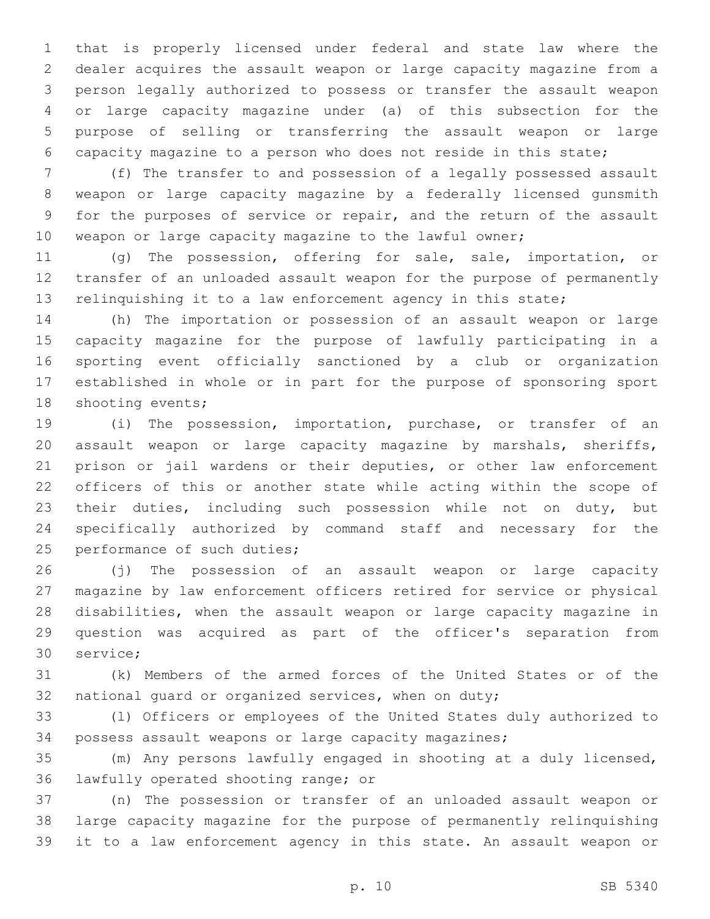that is properly licensed under federal and state law where the dealer acquires the assault weapon or large capacity magazine from a person legally authorized to possess or transfer the assault weapon or large capacity magazine under (a) of this subsection for the purpose of selling or transferring the assault weapon or large capacity magazine to a person who does not reside in this state;

 (f) The transfer to and possession of a legally possessed assault weapon or large capacity magazine by a federally licensed gunsmith for the purposes of service or repair, and the return of the assault 10 weapon or large capacity magazine to the lawful owner;

 (g) The possession, offering for sale, sale, importation, or transfer of an unloaded assault weapon for the purpose of permanently relinquishing it to a law enforcement agency in this state;

 (h) The importation or possession of an assault weapon or large capacity magazine for the purpose of lawfully participating in a sporting event officially sanctioned by a club or organization established in whole or in part for the purpose of sponsoring sport 18 shooting events;

 (i) The possession, importation, purchase, or transfer of an assault weapon or large capacity magazine by marshals, sheriffs, prison or jail wardens or their deputies, or other law enforcement officers of this or another state while acting within the scope of their duties, including such possession while not on duty, but specifically authorized by command staff and necessary for the 25 performance of such duties;

 (j) The possession of an assault weapon or large capacity magazine by law enforcement officers retired for service or physical disabilities, when the assault weapon or large capacity magazine in question was acquired as part of the officer's separation from 30 service;

 (k) Members of the armed forces of the United States or of the national guard or organized services, when on duty;

 (l) Officers or employees of the United States duly authorized to possess assault weapons or large capacity magazines;

 (m) Any persons lawfully engaged in shooting at a duly licensed, 36 lawfully operated shooting range; or

 (n) The possession or transfer of an unloaded assault weapon or large capacity magazine for the purpose of permanently relinquishing it to a law enforcement agency in this state. An assault weapon or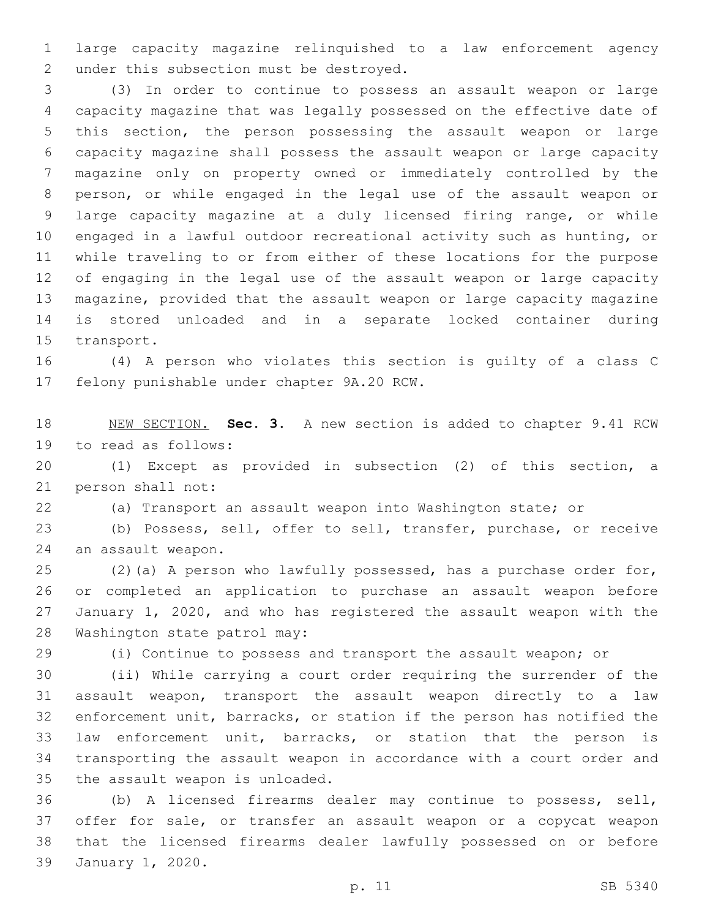large capacity magazine relinquished to a law enforcement agency 2 under this subsection must be destroyed.

 (3) In order to continue to possess an assault weapon or large capacity magazine that was legally possessed on the effective date of this section, the person possessing the assault weapon or large capacity magazine shall possess the assault weapon or large capacity magazine only on property owned or immediately controlled by the person, or while engaged in the legal use of the assault weapon or large capacity magazine at a duly licensed firing range, or while engaged in a lawful outdoor recreational activity such as hunting, or while traveling to or from either of these locations for the purpose of engaging in the legal use of the assault weapon or large capacity magazine, provided that the assault weapon or large capacity magazine is stored unloaded and in a separate locked container during 15 transport.

 (4) A person who violates this section is guilty of a class C 17 felony punishable under chapter 9A.20 RCW.

 NEW SECTION. **Sec. 3.** A new section is added to chapter 9.41 RCW 19 to read as follows:

 (1) Except as provided in subsection (2) of this section, a 21 person shall not:

(a) Transport an assault weapon into Washington state; or

 (b) Possess, sell, offer to sell, transfer, purchase, or receive 24 an assault weapon.

 (2)(a) A person who lawfully possessed, has a purchase order for, or completed an application to purchase an assault weapon before January 1, 2020, and who has registered the assault weapon with the 28 Washington state patrol may:

(i) Continue to possess and transport the assault weapon; or

 (ii) While carrying a court order requiring the surrender of the assault weapon, transport the assault weapon directly to a law enforcement unit, barracks, or station if the person has notified the law enforcement unit, barracks, or station that the person is transporting the assault weapon in accordance with a court order and 35 the assault weapon is unloaded.

 (b) A licensed firearms dealer may continue to possess, sell, offer for sale, or transfer an assault weapon or a copycat weapon that the licensed firearms dealer lawfully possessed on or before 39 January 1, 2020.